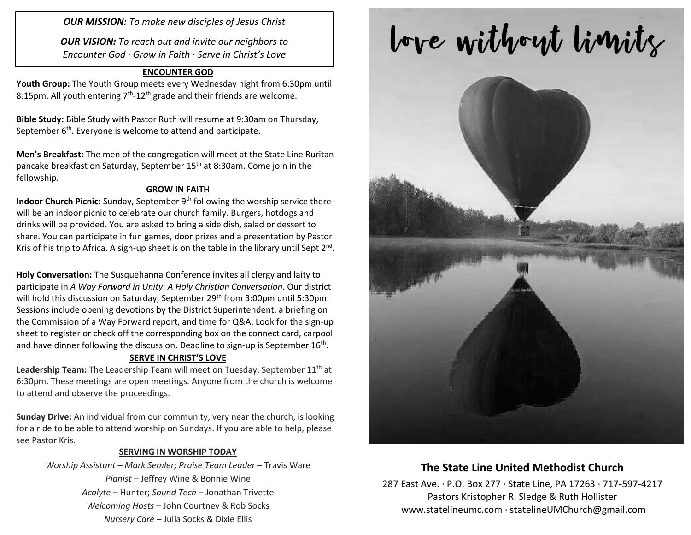*OUR MISSION: To make new disciples of Jesus Christ*

*OUR VISION: To reach out and invite our neighbors to Encounter God · Grow in Faith · Serve in Christ's Love*

#### **ENCOUNTER GOD**

**Youth Group:** The Youth Group meets every Wednesday night from 6:30pm until 8:15pm. All youth entering  $7<sup>th</sup>$ -12<sup>th</sup> grade and their friends are welcome.

**Bible Study:** Bible Study with Pastor Ruth will resume at 9:30am on Thursday, September  $6<sup>th</sup>$ . Everyone is welcome to attend and participate.

**Men's Breakfast:** The men of the congregation will meet at the State Line Ruritan pancake breakfast on Saturday, September 15<sup>th</sup> at 8:30am. Come join in the fellowship.

#### **GROW IN FAITH**

**Indoor Church Picnic:** Sunday, September 9<sup>th</sup> following the worship service there will be an indoor picnic to celebrate our church family. Burgers, hotdogs and drinks will be provided. You are asked to bring a side dish, salad or dessert to share. You can participate in fun games, door prizes and a presentation by Pastor Kris of his trip to Africa. A sign-up sheet is on the table in the library until Sept 2<sup>nd</sup>.

**Holy Conversation:** The Susquehanna Conference invites all clergy and laity to participate in *A Way Forward in Unity*: *A Holy Christian Conversation*. Our district will hold this discussion on Saturday, September 29<sup>th</sup> from 3:00pm until 5:30pm. Sessions include opening devotions by the District Superintendent, a briefing on the Commission of a Way Forward report, and time for Q&A. Look for the sign-up sheet to register or check off the corresponding box on the connect card, carpool and have dinner following the discussion. Deadline to sign-up is September 16<sup>th</sup>.

#### **SERVE IN CHRIST'S LOVE**

Leadership Team: The Leadership Team will meet on Tuesday, September 11<sup>th</sup> at 6:30pm. These meetings are open meetings. Anyone from the church is welcome to attend and observe the proceedings.

**Sunday Drive:** An individual from our community, very near the church, is looking for a ride to be able to attend worship on Sundays. If you are able to help, please see Pastor Kris.

#### **SERVING IN WORSHIP TODAY**

*Worship Assistant – Mark Semler; Praise Team Leader* – Travis Ware *Pianist* – Jeffrey Wine & Bonnie Wine *Acolyte* – Hunter; *Sound Tech* – Jonathan Trivette *Welcoming Hosts* – John Courtney & Rob Socks *Nursery Care* – Julia Socks & Dixie Ellis

# love without limits



## **The State Line United Methodist Church**

287 East Ave. · P.O. Box 277 · State Line, PA 17263 · 717-597-4217 Pastors Kristopher R. Sledge & Ruth Hollister [www.statelineumc.com](http://www.statelineumc.com/) · statelineUMChurch@gmail.com